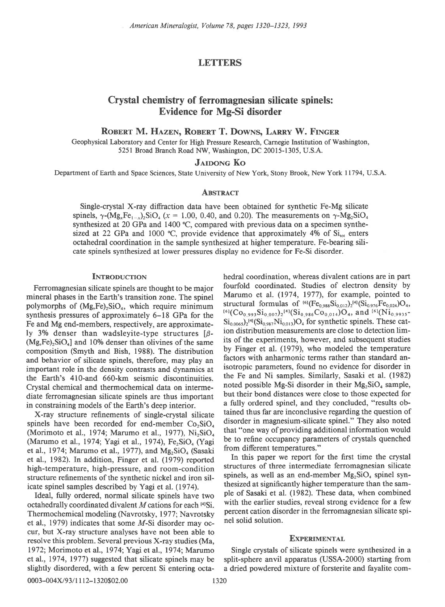American Mineralogist, Volume 78, pages 1320-1323, 1993

## **LETTERS**

# Crystal chemistry of ferromagnesian silicate spinels: Evidence for Mg-Si disorder

ROBERT M. HAZEN, ROBERT T. DOWNS, LARRY W. FINGER

Geophysical Laboratory and Center for High Pressure Research, Carnegie Institution of Washington, 5251 Broad Branch Road NW, Washington, DC 20015-1305, U.S.A.

## **JAIDONG KO**

Department of Earth and Space Sciences, State University of New York, Stony Brook, New York I 1794, U.S.A.

## **ABSTRACT**

Single-crystal X-ray diffraction data have been obtained for synthetic Fe-Mg silicate spinels,  $\gamma$ -(Mg<sub>x</sub>Fe<sub>1-x</sub>)<sub>2</sub>SiO<sub>4</sub> ( $x = 1.00, 0.40,$  and 0.20). The measurements on  $\gamma$ -Mg<sub>2</sub>SiO<sub>4</sub> synthesized at 20 GPa and 1400  $^{\circ}$ C, compared with previous data on a specimen synthesized at 22 GPa and 1000 °C, provide evidence that approximately 4% of  $Si<sub>tot</sub>$  enters octahedral coordination in the sample synthesized at higher temperature. Fe-bearing silicate spinels synthesized at lower pressures display no evidence for Fe-Si disorder.

#### **INTRODUCTION**

Ferromagnesian silicate spinels are thought to be major mineral phases in the Earth's transition zone. The spinel polymorphs of  $(Mg,Fe)_2SiO_4$ , which require minimum synthesis pressures of approximately 6-18 GPa for the Fe and Mg end-members, respectively, are approximately 3% denser than wadsleyite-type structures  $\beta$ - $(Mg,Fe), SiO<sub>4</sub>$  and 10% denser than olivines of the same composition (Smyth and Bish, 1988). The distribution and behavior of silicate spinels, therefore, may play an important role in the density contrasts and dynamics at the Earth's 410-and 660-km seisrnic discontinuities. Crystal chemical and thermochemical data on intermediate ferromagnesian silicate spinels are thus important in constraining models of the Earth's deep interior.

X-ray structure refinements of single-crystal silicate spinels have been recorded for end-member  $Co<sub>2</sub>SiO<sub>4</sub>$ (Morimoto et al., 1974; Marumo et al., 1977),  $Ni<sub>2</sub>SiO<sub>4</sub>$ (Marumo et al., 1974; Yagi et al., 1974), Fe<sub>2</sub>SiO<sub>4</sub> (Yagi et al., 1974; Marumo et al., 1977), and  $Mg_2SiO_4$  (Sasaki et al., 1982). In addition, Finger et al. (1979) reported high-temperature, high-pressure, and room-condition structure refinements of the synthetic nickel and iron silicate spinel samples described by Yagi et al. (1974).

Ideal, fully ordered, normal silicate spinels have two octahedrally coordinated divalent  $M$  cations for each  $[4]$ Si. Thermochemical modeling (Navrotsky, 1977; Navrotsky et al., 1979) indicates that some M-Si disorder may occur, but X-ray structure analyses have not been able to resolve this problem. Several previous X-ray studies (Ma, 1972; Morimoto et al., 1974; Yagi et al., 1974; Marumo et al., 1974, 1977) suggested that silicate spinels may be slightly disordered, with a few percent Si entering octahedral coordination, whereas divalent cations are in part fourfold coordinated. Studies of electron density by Marumo et al. (1974, 1977), for example, pointed to structural formulas of  $^{60}$  (Fe<sub>0.988</sub>Si<sub>0.012</sub>)<sub>2</sub><sup>[4]</sup> (Si<sub>0.976</sub>Fe<sub>0.024</sub>)O<sub>4</sub>,  $^{[6]}(Co_{0.993}Si_{0.007})_2^{[4]}(Si_{0.986}Co_{0.014})O_4$ , and  $^{[6]}(Ni_{0.9935}$  $\rm Si_{0.0065})_2^{[4]}(Si_{0.987}Ni_{0.013})O_4$  for synthetic spinels. These cation distribution measurements are close to detection limits of the experiments, however, and subsequent studies by Finger et al. (1979), who modeled the temperature factors with anharmonic terms rather than standard anisotropic parameters, found no evidence for disorder in the Fe and Ni samples. Similarly, Sasaki et al. (1982) noted possible Mg-Si disorder in their  $Mg_2SiO_4$  sample, but their bond distances were close to those expected for a fully ordered spinel, and they concluded, "results obtained thus far are inconclusive regarding the question of disorder in magnesium-silicate spinel." They also noted that "one way of providing additional information would be to refine occupancy parameters of crystals quenched from different temperatures."

In this paper we report for the first time the crystal structures of three intermediate ferromagnesian silicate spinels, as well as an end-member  $Mg_2SiO_4$  spinel synthesized at significantly higher temperature than the sample of Sasaki et al. (1982). These data, when combined with the earlier studies, reveal strong evidence for a few percent cation disorder in the ferromagnesian silicate spinel solid solution.

## **EXPERIMENTAL**

Single crystals of silicate spinels were synthesized in a split-sphere anvil apparatus (USSA-2000) starting from a dried powdered mixture of forsterite and fayalite com-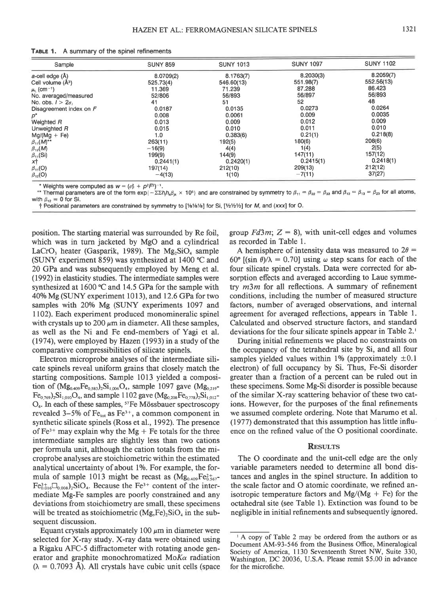| TABLE 1. |  | A summary of the spinel refinements |
|----------|--|-------------------------------------|
|----------|--|-------------------------------------|

| Sample                                 | <b>SUNY 859</b> | <b>SUNY 1013</b> | <b>SUNY 1097</b> | <b>SUNY 1102</b> |
|----------------------------------------|-----------------|------------------|------------------|------------------|
| a-cell edge (Å)                        | 8.0709(2)       | 8.1763(7)        | 8.2030(3)        | 8.2059(7)        |
| Cell volume (Å <sup>3</sup> )          | 525.73(4)       | 546.60(13)       | 551.98(7)        | 552.56(13)       |
| $\mu$ <sub>L</sub> (cm <sup>-1</sup> ) | 11.369          | 71.239           | 87.288           | 86.423           |
| No. averaged/measured                  | 52/806          | 56/893           | 56/897           | 56/893           |
| No. obs. $1 > 2\sigma$                 | 41              | 51               | 52               | 48               |
| Disagreement index on F                | 0.0187          | 0.0135           | 0.0273           | 0.0264           |
| p*                                     | 0.008           | 0.0061           | 0.009            | 0.0035           |
| Weighted R                             | 0.013           | 0.009            | 0.012            | 0.009            |
| Unweighted R                           | 0.015           | 0.010            | 0.011            | 0.010            |
| $Mg/(Mg + Fe)$                         | 1.0             | 0.383(6)         | 0.21(1)          | 0.218(8)         |
| $\beta_{11}(M)^{**}$                   | 263(11)         | 192(5)           | 180(6)           | 208(6)           |
| $\beta_{12}(M)$                        | $-16(9)$        | 4(4)             | 1(4)             | 2(5)             |
|                                        | 199(9)          | 144(9)           | 147(11)          | 157(12)          |
| $\frac{\beta_{11}(Si)}{x\uparrow}$     | 0.2441(1)       | 0.2420(1)        | 0.2415(1)        | 0.2418(1)        |
| $\beta_{11}(O)$                        | 197(14)         | 212(10)          | 209(13)          | 212(12)          |
| $\beta_{12}$ (O)                       | $-4(13)$        | 1(10)            | $-7(11)$         | 37(27)           |

\* Weights were computed as  $w = (\sigma_F^2 + p^2 F^2)^{-1}$ .

\*\* Thermal parameters are of the form  $\exp{-\Sigma \Sigma h h_s \beta_k} \times 10^5$  and are constrained by symmetry to  $\beta_{11} = \beta_{22} = \beta_{33}$  and  $\beta_{12} = \beta_{13} = \beta_{23}$  for all atoms, with  $\beta_{12} = 0$  for Si.

† Positional parameters are constrained by symmetry to [1/81/81/8] for Si, [1/21/21/2] for M, and (xxx] for O.

position. The starting material was surrounded by Re foil. which was in turn jacketed by MgO and a cylindrical LaCrO<sub>3</sub> heater (Gasparik, 1989). The Mg<sub>2</sub>SiO<sub>4</sub> sample (SUNY experiment 859) was synthesized at 1400 °C and 20 GPa and was subsequently employed by Meng et al. (1992) in elasticity studies. The intermediate samples were synthesized at 1600 ℃ and 14.5 GPa for the sample with 40% Mg (SUNY experiment 1013), and 12.6 GPa for two samples with 20% Mg (SUNY experiments 1097 and 1102). Each experiment produced monomineralic spinel with crystals up to 200  $\mu$ m in diameter. All these samples, as well as the Ni and Fe end-members of Yagi et al.  $(1974)$ , were employed by Hazen  $(1993)$  in a study of the comparative compressibilities of silicate spinels.

Electron microprobe analyses of the intermediate silicate spinels reveal uniform grains that closely match the starting compositions. Sample 1013 yielded a composition of  $(Mg_{0.409}Fe_{0.583})_2Si_{1,006}O_4$ , sample 1097 gave  $(Mg_{0.219}$  $Fe_{0.769}$ )<sub>2</sub>Si<sub>1,010</sub>O<sub>4</sub>, and sample 1102 gave (Mg<sub>0,208</sub>Fe<sub>0,778</sub>)<sub>2</sub>Si<sub>1,012</sub>- $O<sub>4</sub>$ . In each of these samples, <sup>57</sup>Fe Mössbauer spectroscopy revealed 3–5% of  $Fe<sub>tot</sub>$  as  $Fe<sup>3+</sup>$ , a common component in synthetic silicate spinels (Ross et al., 1992). The presence of  $Fe^{3+}$  may explain why the Mg + Fe totals for the three intermediate samples are slightly less than two cations per formula unit, although the cation totals from the microprobe analyses are stoichiometric within the estimated analytical uncertainty of about 1%. For example, the formula of sample 1013 might be recast as  $(Mg_{0.409}Fe_{0.567}^{2+})$  $Fe^{3+}_{0.016}\Box_{0.008}$ )<sub>2</sub>SiO<sub>4</sub>. Because the Fe<sup>3+</sup> content of the intermediate Mg-Fe samples are poorly constrained and any deviations from stoichiometry are small, these specimens will be treated as stoichiometric  $(Mg, Fe)_2SiO_4$  in the subsequent discussion.

Equant crystals approximately 100  $\mu$ m in diameter were selected for X-ray study. X-ray data were obtained using a Rigaku AFC-5 diffractometer with rotating anode generator and graphite monochromatized Mo $K_{\alpha}$  radiation  $(\lambda = 0.7093$  A). All crystals have cubic unit cells (space group  $Fd3m$ ;  $Z = 8$ ), with unit-cell edges and volumes as recorded in Table 1.

A hemisphere of intensity data was measured to  $2\theta =$ 60°  $[(\sin \theta)/\lambda = 0.70]$  using  $\omega$  step scans for each of the four silicate spinel crystals. Data were corrected for absorption effects and averaged according to Laue symmetry  $m3m$  for all reflections. A summary of refinement conditions, including the number of measured structure factors, number of averaged observations, and internal agreement for averaged reflections, appears in Table 1. Calculated and observed structure factors, and standard deviations for the four silicate spinels appear in Table 2.

During initial refinements we placed no constraints on the occupancy of the tetrahedral site by Si, and all four samples yielded values within 1% (approximately  $\pm 0.1$ ) electron) of full occupancy by Si. Thus, Fe-Si disorder greater than a fraction of a percent can be ruled out in these specimens. Some Mg-Si disorder is possible because of the similar X-ray scattering behavior of these two cations. However, for the purposes of the final refinements we assumed complete ordering. Note that Marumo et al. (1977) demonstrated that this assumption has little influence on the refined value of the O positional coordinate.

## **RESULTS**

The O coordinate and the unit-cell edge are the only variable parameters needed to determine all bond distances and angles in the spinel structure. In addition to the scale factor and O atomic coordinate, we refined anisotropic temperature factors and  $Mg/(Mg + Fe)$  for the octahedral site (see Table 1). Extinction was found to be negligible in initial refinements and subsequently ignored.

<sup>&</sup>lt;sup>1</sup> A copy of Table 2 may be ordered from the authors or as Document AM-93-546 from the Business Office, Mineralogical Society of America, 1130 Seventeenth Street NW, Suite 330, Washington, DC 20036, U.S.A. Please remit \$5.00 in advance for the microfiche.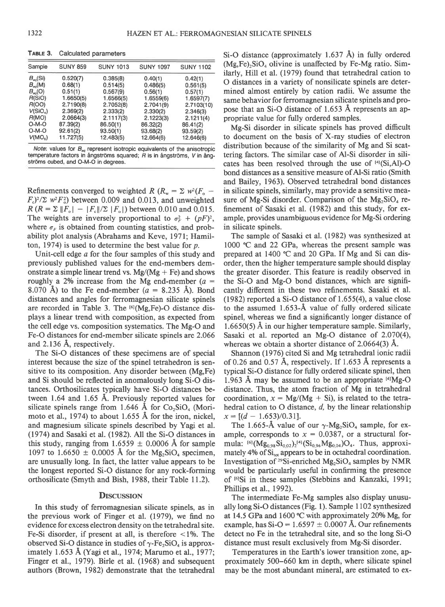| Sample                   | <b>SUNY 859</b> | <b>SUNY 1013</b> | <b>SUNY 1097</b> | <b>SUNY 1102</b> |
|--------------------------|-----------------|------------------|------------------|------------------|
| $B_{\infty}$ (Si)        | 0.520(7)        | 0.385(8)         | 0.40(1)          | 0.42(1)          |
| $B_{\infty}(\mathsf{M})$ | 0.68(1)         | 0.514(5)         | 0.486(5)         | 0.561(5)         |
| $B_{\infty}(0)$          | 0.51(1)         | 0.567(9)         | 0.56(1)          | 0.57(1)          |
| R(SIO)                   | 1.6650(5)       | 1.6566(5)        | 1.6559(6)        | 1.6597(7)        |
| R(OO)                    | 2.7190(8)       | 2.7052(8)        | 2.7041(9)        | 2.7103(10)       |
| V(SiO <sub>a</sub> )     | 2.369(2)        | 2.333(2)         | 2.330(2)         | 2.346(3)         |
| R(MO)                    | 2.0664(3)       | 2.1117(3)        | 2.1223(3)        | 2.1211(4)        |
| $O-M-O$                  | 87.39(2)        | 86.50(1)         | 86.32(2)         | 86.41(2)         |
| $O-M-O$                  | 92.61(2)        | 93.50(1)         | 93.68(2)         | 93.59(2)         |
| V(MO <sub>s</sub> )      | 11.727(5)       | 12.483(5)        | 12.664(6)        | 12.646(6)        |

TABLE 3. Calculated parameters

Note: values for  $B_{eq}$  represent isotropic equivalents of the anisotropic temperature factors in ångströms squared; R is in ångströms, V in ångströms cubed, and O-M-O in degrees.

Refinements converged to weighted R ( $R_w = \sum w^2 (F_o F_c$ <sup>2</sup>/ $\sum w^2 F_a^2$  between 0.009 and 0.013, and unweighted  $R(R = \Sigma ||F_{o}| - |F_{c}|/\Sigma |F_{o}|)$  between 0.010 and 0.015. The weights are inversely proportional to  $\sigma_F^2 + (pF)^2$ , where  $\sigma_F$  is obtained from counting statistics, and probability plot analysis (Abrahams and Keve, 1971; Hamilton, 1974) is used to determine the best value for  $p$ .

Unit-cell edge  $a$  for the four samples of this study and previously published values for the end-members demonstrate a simple linear trend vs.  $Mg/(Mg + Fe)$  and shows roughly a 2% increase from the Mg end-member  $(a =$ 8.070 Å) to the Fe end-member  $(a = 8.235$  Å). Bond distances and angles for ferromagnesian silicate spinels are recorded in Table 3. The <sup>[6]</sup>(Mg,Fe)-O distance displays a linear trend with composition, as expected from the cell edge vs. composition systematics. The Mg-O and Fe-O distances for end-member silicate spinels are 2.066 and 2.136 Å, respectively.

The Si-O distances of these specimens are of special interest because the size of the spinel tetrahedron is sensitive to its composition. Any disorder between (Mg, Fe) and Si should be reflected in anomalously long Si-O distances. Orthosilicates typically have Si-O distances between 1.64 and 1.65 Å. Previously reported values for silicate spinels range from 1.646 Å for  $Co<sub>2</sub>SiO<sub>4</sub>$  (Morimoto et al., 1974) to about 1.655 Å for the iron, nickel, and magnesium silicate spinels described by Yagi et al. (1974) and Sasaki et al. (1982). All the Si-O distances in this study, ranging from 1.6559  $\pm$  0.0006 Å for sample 1097 to 1.6650  $\pm$  0.0005 Å for the Mg<sub>2</sub>SiO<sub>4</sub> specimen, are unusually long. In fact, the latter value appears to be the longest reported Si-O distance for any rock-forming orthosilicate (Smyth and Bish, 1988, their Table 11.2).

#### **DISCUSSION**

In this study of ferromagnesian silicate spinels, as in the previous work of Finger et al. (1979), we find no evidence for excess electron density on the tetrahedral site. Fe-Si disorder, if present at all, is therefore  $\langle 1\% \rangle$ . The observed Si-O distance in studies of  $\gamma$ -Fe<sub>2</sub>SiO<sub>4</sub> is approximately 1.653 Å (Yagi et al., 1974; Marumo et al., 1977; Finger et al., 1979). Birle et al. (1968) and subsequent authors (Brown, 1982) demonstrate that the tetrahedral Si-O distance (approximately  $1.637$  Å) in fully ordered (Mg, Fe)<sub>2</sub>SiO<sub>4</sub> olivine is unaffected by Fe-Mg ratio. Similarly, Hill et al. (1979) found that tetrahedral cation to O distances in a variety of nonsilicate spinels are determined almost entirely by cation radii. We assume the same behavior for ferromagnesian silicate spinels and propose that an Si-O distance of 1.653 Å represents an appropriate value for fully ordered samples.

Mg-Si disorder in silicate spinels has proved difficult to document on the basis of X-ray studies of electron distribution because of the similarity of Mg and Si scattering factors. The similar case of Al-Si disorder in silicates has been resolved through the use of [4](Si,Al)-O bond distances as a sensitive measure of Al-Si ratio (Smith and Bailey, 1963). Observed tetrahedral bond distances in silicate spinels, similarly, may provide a sensitive measure of Mg-Si disorder. Comparison of the  $Mg_2SiO_4$  refinement of Sasaki et al. (1982) and this study, for example, provides unambiguous evidence for Mg-Si ordering in silicate spinels.

The sample of Sasaki et al. (1982) was synthesized at 1000 °C and 22 GPa, whereas the present sample was prepared at 1400 °C and 20 GPa. If Mg and Si can disorder, then the higher temperature sample should display the greater disorder. This feature is readily observed in the Si-O and Mg-O bond distances, which are significantly different in these two refinements. Sasaki et al.  $(1982)$  reported a Si-O distance of 1.655(4), a value close to the assumed 1.653-Å value of fully ordered silicate spinel, whereas we find a significantly longer distance of  $1.6650(5)$  Å in our higher temperature sample. Similarly, Sasaki et al. reported an Mg-O distance of 2.070(4), whereas we obtain a shorter distance of  $2.0664(3)$  Å.

Shannon (1976) cited Si and Mg tetrahedral ionic radii of 0.26 and 0.57 Å, respectively. If 1.653 Å represents a typical Si-O distance for fully ordered silicate spinel, then 1.963 Å may be assumed to be an appropriate  $[4]Mg-O$ distance. Thus, the atom fraction of Mg in tetrahedral coordination,  $x = Mg/(Mg + Si)$ , is related to the tetrahedral cation to  $O$  distance,  $d$ , by the linear relationship  $x = [(d - 1.653)/0.31].$ 

The 1.665-Å value of our  $\gamma$ -Mg<sub>2</sub>SiO<sub>4</sub> sample, for example, corresponds to  $x = 0.0387$ , or a structural formula: <sup>[6]</sup> ( $Mg_{0.98}Si_{0.02}$ )<sub>2</sub><sup>[4]</sup> (Si<sub>0.96</sub>Mg<sub>0.04</sub>)O<sub>4</sub>. Thus, approximately 4% of Si<sub>tot</sub> appears to be in octahedral coordination. Investigation of <sup>29</sup>Si-enriched Mg<sub>2</sub>SiO<sub>4</sub> samples by NMR would be particularly useful in confirming the presence of [6]Si in these samples (Stebbins and Kanzaki, 1991; Phillips et al., 1992).

The intermediate Fe-Mg samples also display unusually long Si-O distances (Fig. 1). Sample 1102 synthesized at 14.5 GPa and 1600 °C with approximately 20% Mg, for example, has  $Si-O = 1.6597 \pm 0.0007$  Å. Our refinements detect no Fe in the tetrahedral site, and so the long Si-O distance must result exclusively from Mg-Si disorder.

Temperatures in the Earth's lower transition zone, approximately 500–660 km in depth, where silicate spinel may be the most abundant mineral, are estimated to ex-